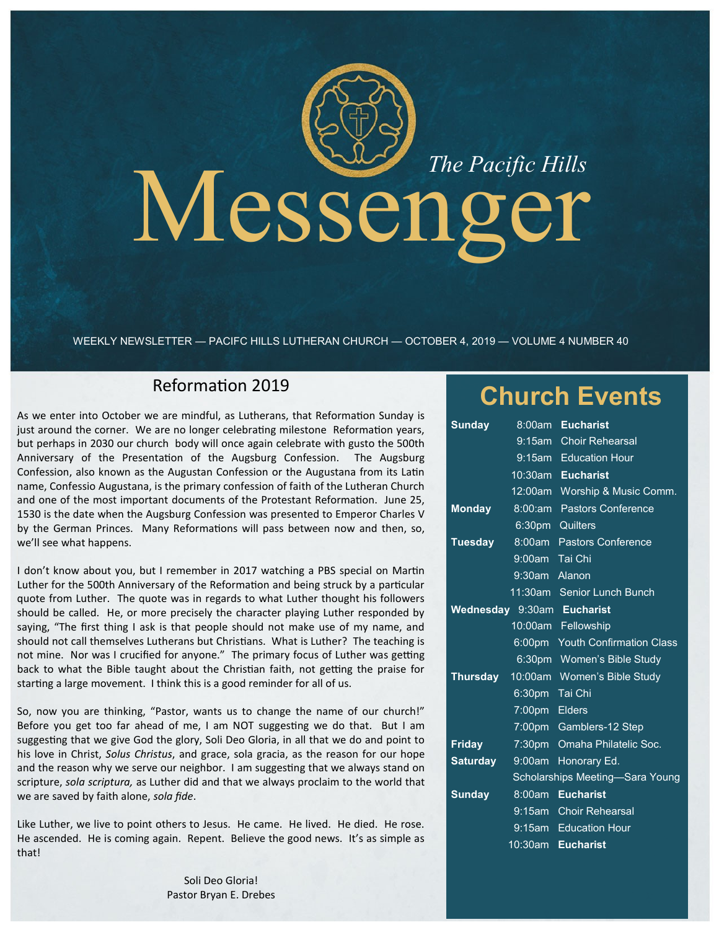# Messenger

WEEKLY NEWSLETTER — PACIFC HILLS LUTHERAN CHURCH — OCTOBER 4, 2019 — VOLUME 4 NUMBER 40

## Reformation 2019

As we enter into October we are mindful, as Lutherans, that Reformation Sunday is just around the corner. We are no longer celebrating milestone Reformation years, but perhaps in 2030 our church body will once again celebrate with gusto the 500th Anniversary of the Presentation of the Augsburg Confession. The Augsburg Confession, also known as the Augustan Confession or the Augustana from its Latin name, Confessio Augustana, is the primary confession of faith of the Lutheran Church and one of the most important documents of the Protestant Reformation. June 25, 1530 is the date when the Augsburg Confession was presented to Emperor Charles V by the German Princes. Many Reformations will pass between now and then, so, we'll see what happens.

I don't know about you, but I remember in 2017 watching a PBS special on Martin Luther for the 500th Anniversary of the Reformation and being struck by a particular quote from Luther. The quote was in regards to what Luther thought his followers should be called. He, or more precisely the character playing Luther responded by saying, "The first thing I ask is that people should not make use of my name, and should not call themselves Lutherans but Christians. What is Luther? The teaching is not mine. Nor was I crucified for anyone." The primary focus of Luther was getting back to what the Bible taught about the Christian faith, not getting the praise for starting a large movement. I think this is a good reminder for all of us.

So, now you are thinking, "Pastor, wants us to change the name of our church!" Before you get too far ahead of me, I am NOT suggesting we do that. But I am suggesting that we give God the glory, Soli Deo Gloria, in all that we do and point to his love in Christ, *Solus Christus*, and grace, sola gracia, as the reason for our hope and the reason why we serve our neighbor. I am suggesting that we always stand on scripture, *sola scriptura,* as Luther did and that we always proclaim to the world that we are saved by faith alone, *sola fide*.

Like Luther, we live to point others to Jesus. He came. He lived. He died. He rose. He ascended. He is coming again. Repent. Believe the good news. It's as simple as that!

> Soli Deo Gloria! Pastor Bryan E. Drebes

# **Church Events**

| <b>Sunday</b>                   | 8:00am             | <b>Eucharist</b>                |
|---------------------------------|--------------------|---------------------------------|
|                                 |                    | 9:15am Choir Rehearsal          |
|                                 | $9:15$ am          | <b>Education Hour</b>           |
|                                 | $10:30$ am         | <b>Eucharist</b>                |
|                                 | 12:00am            | Worship & Music Comm.           |
| <b>Monday</b>                   | 8:00:am            | Pastors Conference              |
|                                 | 6:30 <sub>pm</sub> | Quilters                        |
| <b>Tuesday</b>                  |                    | 8:00am Pastors Conference       |
|                                 | 9:00am Tai Chi     |                                 |
|                                 | 9:30am Alanon      |                                 |
|                                 |                    | 11:30am Senior Lunch Bunch      |
|                                 |                    | Wednesday 9:30am Eucharist      |
|                                 | 10:00am            | Fellowship                      |
|                                 | 6:00pm             | <b>Youth Confirmation Class</b> |
|                                 |                    | 6:30pm Women's Bible Study      |
| <b>Thursday</b>                 | 10:00am            | Women's Bible Study             |
|                                 | 6:30pm Tai Chi     |                                 |
|                                 | 7:00pm Elders      |                                 |
|                                 |                    | 7:00pm Gamblers-12 Step         |
| <b>Friday</b>                   |                    | 7:30pm Omaha Philatelic Soc.    |
| <b>Saturday</b>                 | $9:00$ am          | Honorary Ed.                    |
| Scholarships Meeting-Sara Young |                    |                                 |
| <b>Sunday</b>                   | 8:00am             | <b>Eucharist</b>                |
|                                 |                    | 9:15am Choir Rehearsal          |
|                                 |                    | 9:15am Education Hour           |
|                                 | 10:30am            | <b>Eucharist</b>                |